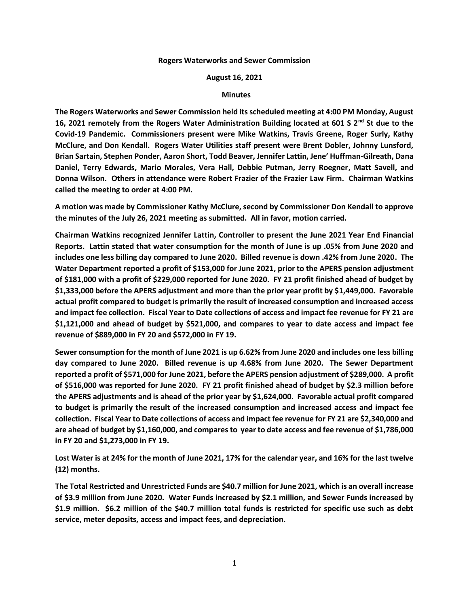## **Rogers Waterworks and Sewer Commission**

## **August 16, 2021**

## **Minutes**

**The Rogers Waterworks and Sewer Commission held its scheduled meeting at 4:00 PM Monday, August 16, 2021 remotely from the Rogers Water Administration Building located at 601 S 2nd St due to the Covid-19 Pandemic. Commissioners present were Mike Watkins, Travis Greene, Roger Surly, Kathy McClure, and Don Kendall. Rogers Water Utilities staff present were Brent Dobler, Johnny Lunsford, Brian Sartain, Stephen Ponder, Aaron Short, Todd Beaver, Jennifer Lattin, Jene' Huffman-Gilreath, Dana Daniel, Terry Edwards, Mario Morales, Vera Hall, Debbie Putman, Jerry Roegner, Matt Savell, and Donna Wilson. Others in attendance were Robert Frazier of the Frazier Law Firm. Chairman Watkins called the meeting to order at 4:00 PM.**

**A motion was made by Commissioner Kathy McClure, second by Commissioner Don Kendall to approve the minutes of the July 26, 2021 meeting as submitted. All in favor, motion carried.**

**Chairman Watkins recognized Jennifer Lattin, Controller to present the June 2021 Year End Financial Reports. Lattin stated that water consumption for the month of June is up .05% from June 2020 and includes one less billing day compared to June 2020. Billed revenue is down .42% from June 2020. The Water Department reported a profit of \$153,000 for June 2021, prior to the APERS pension adjustment of \$181,000 with a profit of \$229,000 reported for June 2020. FY 21 profit finished ahead of budget by \$1,333,000 before the APERS adjustment and more than the prior year profit by \$1,449,000. Favorable actual profit compared to budget is primarily the result of increased consumption and increased access and impact fee collection. Fiscal Year to Date collections of access and impact fee revenue for FY 21 are \$1,121,000 and ahead of budget by \$521,000, and compares to year to date access and impact fee revenue of \$889,000 in FY 20 and \$572,000 in FY 19.**

**Sewer consumption for the month of June 2021 is up 6.62% from June 2020 and includes one less billing day compared to June 2020. Billed revenue is up 4.68% from June 2020. The Sewer Department reported a profit of \$571,000 for June 2021, before the APERS pension adjustment of \$289,000. A profit of \$516,000 was reported for June 2020. FY 21 profit finished ahead of budget by \$2.3 million before the APERS adjustments and is ahead of the prior year by \$1,624,000. Favorable actual profit compared to budget is primarily the result of the increased consumption and increased access and impact fee collection. Fiscal Year to Date collections of access and impact fee revenue for FY 21 are \$2,340,000 and are ahead of budget by \$1,160,000, and compares to year to date access and fee revenue of \$1,786,000 in FY 20 and \$1,273,000 in FY 19.** 

**Lost Water is at 24% for the month of June 2021, 17% for the calendar year, and 16% for the last twelve (12) months.**

**The Total Restricted and Unrestricted Funds are \$40.7 million for June 2021, which is an overall increase of \$3.9 million from June 2020. Water Funds increased by \$2.1 million, and Sewer Funds increased by \$1.9 million. \$6.2 million of the \$40.7 million total funds is restricted for specific use such as debt service, meter deposits, access and impact fees, and depreciation.**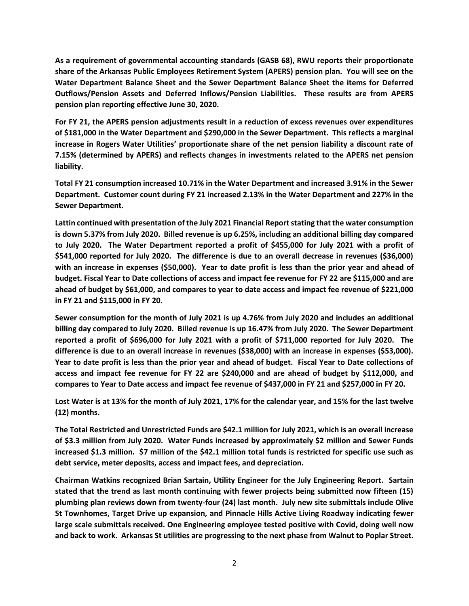**As a requirement of governmental accounting standards (GASB 68), RWU reports their proportionate share of the Arkansas Public Employees Retirement System (APERS) pension plan. You will see on the Water Department Balance Sheet and the Sewer Department Balance Sheet the items for Deferred Outflows/Pension Assets and Deferred Inflows/Pension Liabilities. These results are from APERS pension plan reporting effective June 30, 2020.**

**For FY 21, the APERS pension adjustments result in a reduction of excess revenues over expenditures of \$181,000 in the Water Department and \$290,000 in the Sewer Department. This reflects a marginal increase in Rogers Water Utilities' proportionate share of the net pension liability a discount rate of 7.15% (determined by APERS) and reflects changes in investments related to the APERS net pension liability.**

**Total FY 21 consumption increased 10.71% in the Water Department and increased 3.91% in the Sewer Department. Customer count during FY 21 increased 2.13% in the Water Department and 227% in the Sewer Department.**

**Lattin continued with presentation of the July 2021 Financial Report stating that the water consumption is down 5.37% from July 2020. Billed revenue is up 6.25%, including an additional billing day compared to July 2020. The Water Department reported a profit of \$455,000 for July 2021 with a profit of \$541,000 reported for July 2020. The difference is due to an overall decrease in revenues (\$36,000) with an increase in expenses (\$50,000). Year to date profit is less than the prior year and ahead of budget. Fiscal Year to Date collections of access and impact fee revenue for FY 22 are \$115,000 and are ahead of budget by \$61,000, and compares to year to date access and impact fee revenue of \$221,000 in FY 21 and \$115,000 in FY 20.**

**Sewer consumption for the month of July 2021 is up 4.76% from July 2020 and includes an additional billing day compared to July 2020. Billed revenue is up 16.47% from July 2020. The Sewer Department reported a profit of \$696,000 for July 2021 with a profit of \$711,000 reported for July 2020. The difference is due to an overall increase in revenues (\$38,000) with an increase in expenses (\$53,000). Year to date profit is less than the prior year and ahead of budget. Fiscal Year to Date collections of access and impact fee revenue for FY 22 are \$240,000 and are ahead of budget by \$112,000, and compares to Year to Date access and impact fee revenue of \$437,000 in FY 21 and \$257,000 in FY 20.**

**Lost Water is at 13% for the month of July 2021, 17% for the calendar year, and 15% for the last twelve (12) months.**

**The Total Restricted and Unrestricted Funds are \$42.1 million for July 2021, which is an overall increase of \$3.3 million from July 2020. Water Funds increased by approximately \$2 million and Sewer Funds increased \$1.3 million. \$7 million of the \$42.1 million total funds is restricted for specific use such as debt service, meter deposits, access and impact fees, and depreciation.**

**Chairman Watkins recognized Brian Sartain, Utility Engineer for the July Engineering Report. Sartain stated that the trend as last month continuing with fewer projects being submitted now fifteen (15) plumbing plan reviews down from twenty-four (24) last month. July new site submittals include Olive St Townhomes, Target Drive up expansion, and Pinnacle Hills Active Living Roadway indicating fewer large scale submittals received. One Engineering employee tested positive with Covid, doing well now and back to work. Arkansas St utilities are progressing to the next phase from Walnut to Poplar Street.**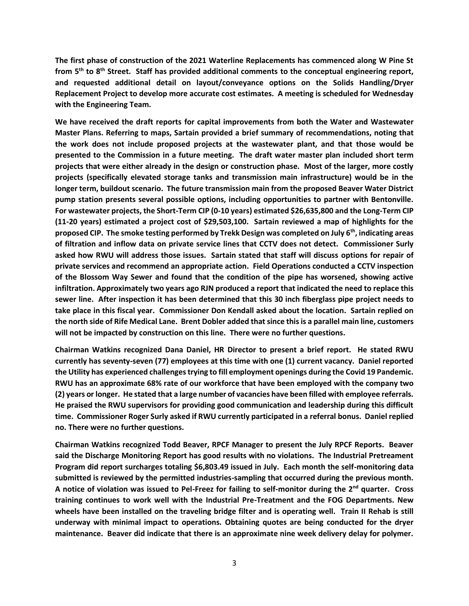**The first phase of construction of the 2021 Waterline Replacements has commenced along W Pine St from 5th to 8th Street. Staff has provided additional comments to the conceptual engineering report, and requested additional detail on layout/conveyance options on the Solids Handling/Dryer Replacement Project to develop more accurate cost estimates. A meeting is scheduled for Wednesday with the Engineering Team.**

**We have received the draft reports for capital improvements from both the Water and Wastewater Master Plans. Referring to maps, Sartain provided a brief summary of recommendations, noting that the work does not include proposed projects at the wastewater plant, and that those would be presented to the Commission in a future meeting. The draft water master plan included short term projects that were either already in the design or construction phase. Most of the larger, more costly projects (specifically elevated storage tanks and transmission main infrastructure) would be in the longer term, buildout scenario. The future transmission main from the proposed Beaver Water District pump station presents several possible options, including opportunities to partner with Bentonville. For wastewater projects, the Short-Term CIP (0-10 years) estimated \$26,635,800 and the Long-Term CIP (11-20 years) estimated a project cost of \$29,503,100. Sartain reviewed a map of highlights for the proposed CIP. The smoke testing performed by Trekk Design was completed on July 6th , indicating areas of filtration and inflow data on private service lines that CCTV does not detect. Commissioner Surly asked how RWU will address those issues. Sartain stated that staff will discuss options for repair of private services and recommend an appropriate action. Field Operations conducted a CCTV inspection of the Blossom Way Sewer and found that the condition of the pipe has worsened, showing active infiltration. Approximately two years ago RJN produced a report that indicated the need to replace this sewer line. After inspection it has been determined that this 30 inch fiberglass pipe project needs to take place in this fiscal year. Commissioner Don Kendall asked about the location. Sartain replied on the north side of Rife Medical Lane. Brent Dobler added that since this is a parallel main line, customers will not be impacted by construction on this line. There were no further questions.**

**Chairman Watkins recognized Dana Daniel, HR Director to present a brief report. He stated RWU currently has seventy-seven (77) employees at this time with one (1) current vacancy. Daniel reported the Utility has experienced challenges trying to fill employment openings during the Covid 19 Pandemic. RWU has an approximate 68% rate of our workforce that have been employed with the company two (2) years or longer. He stated that a large number of vacancies have been filled with employee referrals. He praised the RWU supervisors for providing good communication and leadership during this difficult time. Commissioner Roger Surly asked if RWU currently participated in a referral bonus. Daniel replied no. There were no further questions.**

**Chairman Watkins recognized Todd Beaver, RPCF Manager to present the July RPCF Reports. Beaver said the Discharge Monitoring Report has good results with no violations. The Industrial Pretreament Program did report surcharges totaling \$6,803.49 issued in July. Each month the self-monitoring data submitted is reviewed by the permitted industries-sampling that occurred during the previous month. A notice of violation was issued to Pel-Freez for failing to self-monitor during the 2nd quarter. Cross training continues to work well with the Industrial Pre-Treatment and the FOG Departments. New wheels have been installed on the traveling bridge filter and is operating well. Train II Rehab is still underway with minimal impact to operations. Obtaining quotes are being conducted for the dryer maintenance. Beaver did indicate that there is an approximate nine week delivery delay for polymer.**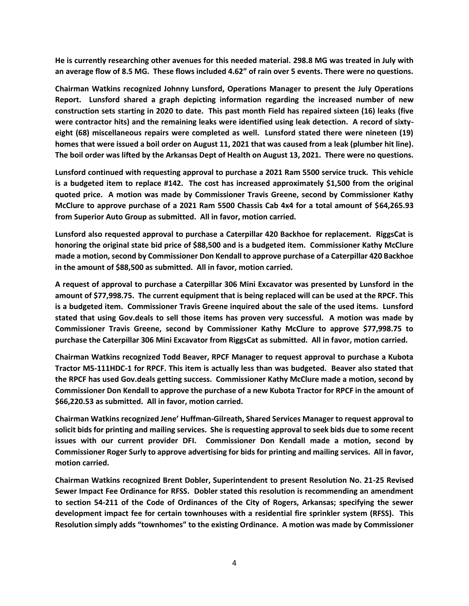**He is currently researching other avenues for this needed material. 298.8 MG was treated in July with an average flow of 8.5 MG. These flows included 4.62" of rain over 5 events. There were no questions.**

**Chairman Watkins recognized Johnny Lunsford, Operations Manager to present the July Operations Report. Lunsford shared a graph depicting information regarding the increased number of new construction sets starting in 2020 to date. This past month Field has repaired sixteen (16) leaks (five were contractor hits) and the remaining leaks were identified using leak detection. A record of sixtyeight (68) miscellaneous repairs were completed as well. Lunsford stated there were nineteen (19) homes that were issued a boil order on August 11, 2021 that was caused from a leak (plumber hit line). The boil order was lifted by the Arkansas Dept of Health on August 13, 2021. There were no questions.**

**Lunsford continued with requesting approval to purchase a 2021 Ram 5500 service truck. This vehicle is a budgeted item to replace #142. The cost has increased approximately \$1,500 from the original quoted price. A motion was made by Commissioner Travis Greene, second by Commissioner Kathy McClure to approve purchase of a 2021 Ram 5500 Chassis Cab 4x4 for a total amount of \$64,265.93 from Superior Auto Group as submitted. All in favor, motion carried.**

**Lunsford also requested approval to purchase a Caterpillar 420 Backhoe for replacement. RiggsCat is honoring the original state bid price of \$88,500 and is a budgeted item. Commissioner Kathy McClure made a motion, second by Commissioner Don Kendall to approve purchase of a Caterpillar 420 Backhoe in the amount of \$88,500 as submitted. All in favor, motion carried.**

**A request of approval to purchase a Caterpillar 306 Mini Excavator was presented by Lunsford in the amount of \$77,998.75. The current equipment that is being replaced will can be used at the RPCF. This is a budgeted item. Commissioner Travis Greene inquired about the sale of the used items. Lunsford stated that using Gov.deals to sell those items has proven very successful. A motion was made by Commissioner Travis Greene, second by Commissioner Kathy McClure to approve \$77,998.75 to purchase the Caterpillar 306 Mini Excavator from RiggsCat as submitted. All in favor, motion carried.**

**Chairman Watkins recognized Todd Beaver, RPCF Manager to request approval to purchase a Kubota Tractor M5-111HDC-1 for RPCF. This item is actually less than was budgeted. Beaver also stated that the RPCF has used Gov.deals getting success. Commissioner Kathy McClure made a motion, second by Commissioner Don Kendall to approve the purchase of a new Kubota Tractor for RPCF in the amount of \$66,220.53 as submitted. All in favor, motion carried.**

**Chairman Watkins recognized Jene' Huffman-Gilreath, Shared Services Manager to request approval to solicit bids for printing and mailing services. She is requesting approval to seek bids due to some recent issues with our current provider DFI. Commissioner Don Kendall made a motion, second by Commissioner Roger Surly to approve advertising for bids for printing and mailing services. All in favor, motion carried.**

**Chairman Watkins recognized Brent Dobler, Superintendent to present Resolution No. 21-25 Revised Sewer Impact Fee Ordinance for RFSS. Dobler stated this resolution is recommending an amendment to section 54-211 of the Code of Ordinances of the City of Rogers, Arkansas; specifying the sewer development impact fee for certain townhouses with a residential fire sprinkler system (RFSS). This Resolution simply adds "townhomes" to the existing Ordinance. A motion was made by Commissioner**